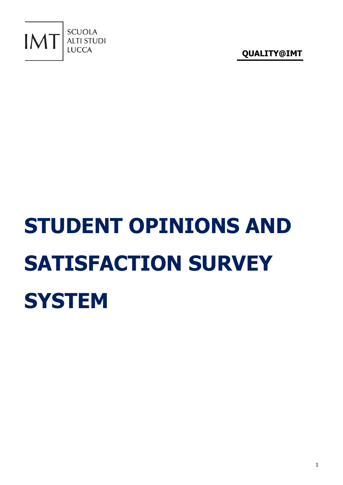

# **STUDENT OPINIONS AND SATISFACTION SURVEY SYSTEM**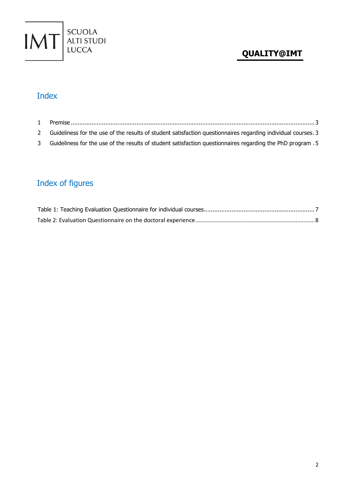

## Index

| $1 \quad$    |                                                                                                               |  |
|--------------|---------------------------------------------------------------------------------------------------------------|--|
| $\mathbf{2}$ | Guideliness for the use of the results of student satisfaction questionnaires regarding individual courses. 3 |  |
|              | 5. Guideliness for the use of the results of student satisfaction questionnaires regarding the PhD program    |  |

# Index of figures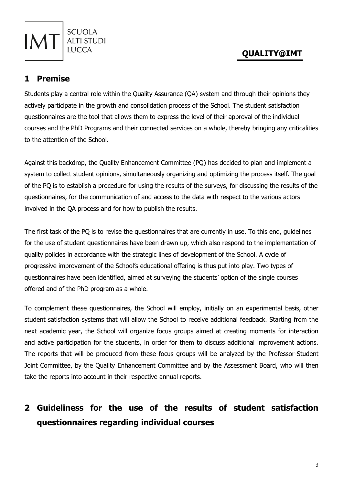#### <span id="page-2-0"></span>**1 Premise**

**SCUOLA ALTI STUDI** 

Students play a central role within the Quality Assurance (QA) system and through their opinions they actively participate in the growth and consolidation process of the School. The student satisfaction questionnaires are the tool that allows them to express the level of their approval of the individual courses and the PhD Programs and their connected services on a whole, thereby bringing any criticalities to the attention of the School.

Against this backdrop, the Quality Enhancement Committee (PQ) has decided to plan and implement a system to collect student opinions, simultaneously organizing and optimizing the process itself. The goal of the PQ is to establish a procedure for using the results of the surveys, for discussing the results of the questionnaires, for the communication of and access to the data with respect to the various actors involved in the QA process and for how to publish the results.

The first task of the PQ is to revise the questionnaires that are currently in use. To this end, guidelines for the use of student questionnaires have been drawn up, which also respond to the implementation of quality policies in accordance with the strategic lines of development of the School. A cycle of progressive improvement of the School's educational offering is thus put into play. Two types of questionnaires have been identified, aimed at surveying the students' option of the single courses offered and of the PhD program as a whole.

To complement these questionnaires, the School will employ, initially on an experimental basis, other student satisfaction systems that will allow the School to receive additional feedback. Starting from the next academic year, the School will organize focus groups aimed at creating moments for interaction and active participation for the students, in order for them to discuss additional improvement actions. The reports that will be produced from these focus groups will be analyzed by the Professor-Student Joint Committee, by the Quality Enhancement Committee and by the Assessment Board, who will then take the reports into account in their respective annual reports.

## <span id="page-2-1"></span>**2 Guideliness for the use of the results of student satisfaction questionnaires regarding individual courses**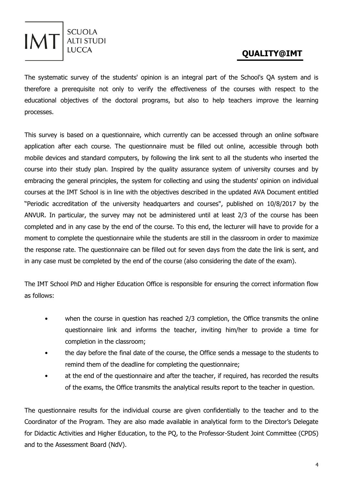

The systematic survey of the students' opinion is an integral part of the School's QA system and is therefore a prerequisite not only to verify the effectiveness of the courses with respect to the educational objectives of the doctoral programs, but also to help teachers improve the learning processes.

This survey is based on a questionnaire, which currently can be accessed through an online software application after each course. The questionnaire must be filled out online, accessible through both mobile devices and standard computers, by following the link sent to all the students who inserted the course into their study plan. Inspired by the quality assurance system of university courses and by embracing the general principles, the system for collecting and using the students' opinion on individual courses at the IMT School is in line with the objectives described in the updated AVA Document entitled "Periodic accreditation of the university headquarters and courses", published on 10/8/2017 by the ANVUR. In particular, the survey may not be administered until at least 2/3 of the course has been completed and in any case by the end of the course. To this end, the lecturer will have to provide for a moment to complete the questionnaire while the students are still in the classroom in order to maximize the response rate. The questionnaire can be filled out for seven days from the date the link is sent, and in any case must be completed by the end of the course (also considering the date of the exam).

The IMT School PhD and Higher Education Office is responsible for ensuring the correct information flow as follows:

- when the course in question has reached 2/3 completion, the Office transmits the online questionnaire link and informs the teacher, inviting him/her to provide a time for completion in the classroom;
- the day before the final date of the course, the Office sends a message to the students to remind them of the deadline for completing the questionnaire;
- at the end of the questionnaire and after the teacher, if required, has recorded the results of the exams, the Office transmits the analytical results report to the teacher in question.

The questionnaire results for the individual course are given confidentially to the teacher and to the Coordinator of the Program. They are also made available in analytical form to the Director's Delegate for Didactic Activities and Higher Education, to the PQ, to the Professor-Student Joint Committee (CPDS) and to the Assessment Board (NdV).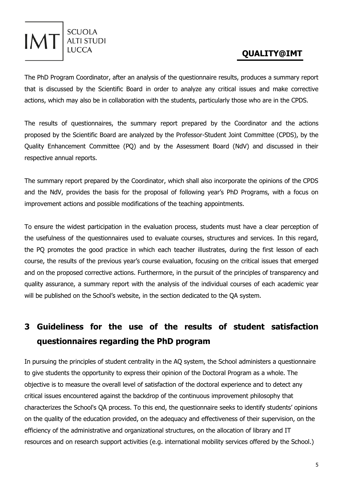#### **SCUOLA IMT** ALTI STUDI

#### **QUALITY@IMT**

The PhD Program Coordinator, after an analysis of the questionnaire results, produces a summary report that is discussed by the Scientific Board in order to analyze any critical issues and make corrective actions, which may also be in collaboration with the students, particularly those who are in the CPDS.

The results of questionnaires, the summary report prepared by the Coordinator and the actions proposed by the Scientific Board are analyzed by the Professor-Student Joint Committee (CPDS), by the Quality Enhancement Committee (PQ) and by the Assessment Board (NdV) and discussed in their respective annual reports.

The summary report prepared by the Coordinator, which shall also incorporate the opinions of the CPDS and the NdV, provides the basis for the proposal of following year's PhD Programs, with a focus on improvement actions and possible modifications of the teaching appointments.

To ensure the widest participation in the evaluation process, students must have a clear perception of the usefulness of the questionnaires used to evaluate courses, structures and services. In this regard, the PQ promotes the good practice in which each teacher illustrates, during the first lesson of each course, the results of the previous year's course evaluation, focusing on the critical issues that emerged and on the proposed corrective actions. Furthermore, in the pursuit of the principles of transparency and quality assurance, a summary report with the analysis of the individual courses of each academic year will be published on the School's website, in the section dedicated to the QA system.

# <span id="page-4-0"></span>**3 Guideliness for the use of the results of student satisfaction questionnaires regarding the PhD program**

In pursuing the principles of student centrality in the AQ system, the School administers a questionnaire to give students the opportunity to express their opinion of the Doctoral Program as a whole. The objective is to measure the overall level of satisfaction of the doctoral experience and to detect any critical issues encountered against the backdrop of the continuous improvement philosophy that characterizes the School's QA process. To this end, the questionnaire seeks to identify students' opinions on the quality of the education provided, on the adequacy and effectiveness of their supervision, on the efficiency of the administrative and organizational structures, on the allocation of library and IT resources and on research support activities (e.g. international mobility services offered by the School.)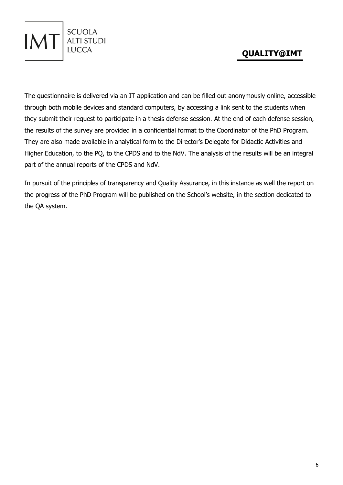

The questionnaire is delivered via an IT application and can be filled out anonymously online, accessible through both mobile devices and standard computers, by accessing a link sent to the students when they submit their request to participate in a thesis defense session. At the end of each defense session, the results of the survey are provided in a confidential format to the Coordinator of the PhD Program. They are also made available in analytical form to the Director's Delegate for Didactic Activities and Higher Education, to the PQ, to the CPDS and to the NdV. The analysis of the results will be an integral part of the annual reports of the CPDS and NdV.

**IM** 

SCUOLA<br>ALTI STUDI

**IUCCA** 

In pursuit of the principles of transparency and Quality Assurance, in this instance as well the report on the progress of the PhD Program will be published on the School's website, in the section dedicated to the QA system.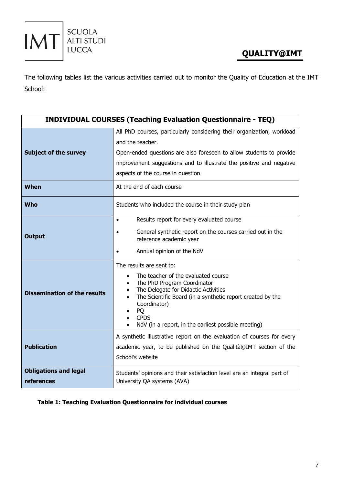

The following tables list the various activities carried out to monitor the Quality of Education at the IMT School:

| <b>INDIVIDUAL COURSES (Teaching Evaluation Questionnaire - TEQ)</b> |                                                                                                                                                                                                                                                                                                |  |  |  |  |
|---------------------------------------------------------------------|------------------------------------------------------------------------------------------------------------------------------------------------------------------------------------------------------------------------------------------------------------------------------------------------|--|--|--|--|
|                                                                     | All PhD courses, particularly considering their organization, workload                                                                                                                                                                                                                         |  |  |  |  |
|                                                                     | and the teacher.                                                                                                                                                                                                                                                                               |  |  |  |  |
| <b>Subject of the survey</b>                                        | Open-ended questions are also foreseen to allow students to provide                                                                                                                                                                                                                            |  |  |  |  |
|                                                                     | improvement suggestions and to illustrate the positive and negative                                                                                                                                                                                                                            |  |  |  |  |
|                                                                     | aspects of the course in question                                                                                                                                                                                                                                                              |  |  |  |  |
| <b>When</b>                                                         | At the end of each course                                                                                                                                                                                                                                                                      |  |  |  |  |
| <b>Who</b>                                                          | Students who included the course in their study plan                                                                                                                                                                                                                                           |  |  |  |  |
|                                                                     | Results report for every evaluated course<br>$\bullet$                                                                                                                                                                                                                                         |  |  |  |  |
| <b>Output</b>                                                       | General synthetic report on the courses carried out in the<br>reference academic year                                                                                                                                                                                                          |  |  |  |  |
|                                                                     | Annual opinion of the NdV                                                                                                                                                                                                                                                                      |  |  |  |  |
|                                                                     | The results are sent to:                                                                                                                                                                                                                                                                       |  |  |  |  |
| <b>Dissemination of the results</b>                                 | The teacher of the evaluated course<br>$\bullet$<br>The PhD Program Coordinator<br>The Delegate for Didactic Activities<br>The Scientific Board (in a synthetic report created by the<br>$\bullet$<br>Coordinator)<br>PQ<br><b>CPDS</b><br>NdV (in a report, in the earliest possible meeting) |  |  |  |  |
|                                                                     | A synthetic illustrative report on the evaluation of courses for every                                                                                                                                                                                                                         |  |  |  |  |
| <b>Publication</b>                                                  | academic year, to be published on the Qualità@IMT section of the                                                                                                                                                                                                                               |  |  |  |  |
|                                                                     | School's website                                                                                                                                                                                                                                                                               |  |  |  |  |
| <b>Obligations and legal</b>                                        | Students' opinions and their satisfaction level are an integral part of                                                                                                                                                                                                                        |  |  |  |  |
| references                                                          | University QA systems (AVA)                                                                                                                                                                                                                                                                    |  |  |  |  |

#### **Table 1: Teaching Evaluation Questionnaire for individual courses**